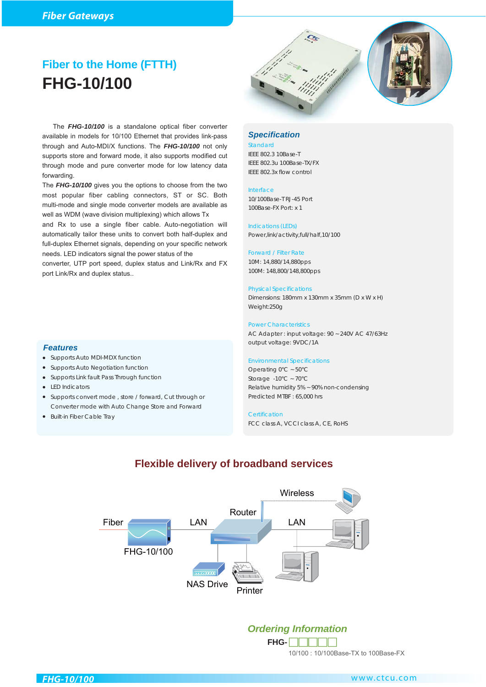# **Fiber to the Home (FTTH) FHG-10/100**



 The *FHG-10/100* is a standalone optical fiber converter available in models for 10/100 Ethernet that provides link-pass through and Auto-MDI/X functions. The *FHG-10/100* not only supports store and forward mode, it also supports modified cut through mode and pure converter mode for low latency data forwarding.

The *FHG-10/100* gives you the options to choose from the two most popular fiber cabling connectors, ST or SC. Both multi-mode and single mode converter models are available as well as WDM (wave division multiplexing) which allows Tx

and Rx to use a single fiber cable. Auto-negotiation will automatically tailor these units to convert both half-duplex and full-duplex Ethernet signals, depending on your specific network needs. LED indicators signal the power status of the

converter, UTP port speed, duplex status and Link/Rx and FX port Link/Rx and duplex status..

● Supports convert mode , store / forward, Cut through or

Converter mode with Auto Change Store and Forward

● Supports Auto MDI-MDX function ● Supports Auto Negotiation function ● Supports Link fault Pass Through function

● LED Indicators

*Features*

● Built-in Fiber Cable Tray

### *Specification*

Standard IEEE 802.3 10Base-T IEEE 802.3u 100Base-TX/FX IEEE 802.3x flow control

### Interface

10/100Base-T RJ-45 Port 100Base-FX Port: x 1

Indications (LEDs) Power,link/activity,full/half,10/100

### Forward / Filter Rate

10M: 14,880/14,880pps 100M: 148,800/148,800pps

### Physical Specifications

Dimensions: 180mm x 130mm x 35mm (D x W x H) Weight:250g

### Power Characteristics

AC Adapter : input voltage: 90 ~ 240V AC 47/63Hz output voltage: 9VDC/1A

### Environmental Specifications

Operating 0°C ~ 50°C Storage -10°C ~ 70°C Relative humidity 5% ~ 90% non-condensing Predicted MTBF : 65,000 hrs

### **Certification**

FCC class A, VCCI class A, CE, RoHS

Printer Router LAN FHG-10/100 LAN **Wireless** Fiber NAS Drive

## **Flexible delivery of broadband services**

## *Ordering Information*

10/100 : 10/100Base-TX to 100Base-FX **FHG-**